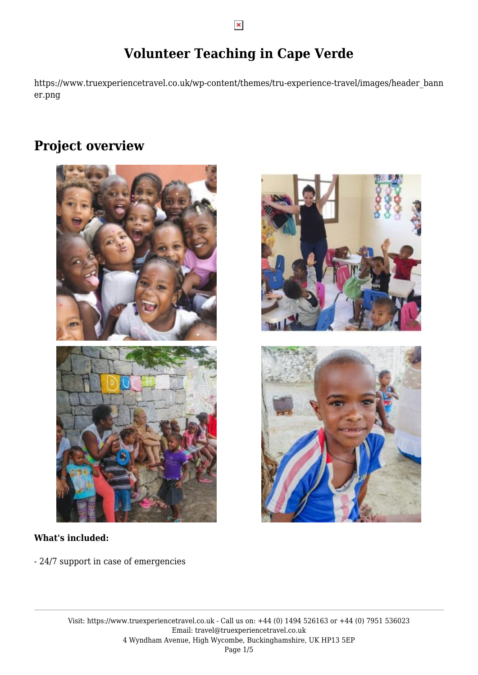# **Volunteer Teaching in Cape Verde**

https://www.truexperiencetravel.co.uk/wp-content/themes/tru-experience-travel/images/header\_bann er.png

## **Project overview**



### **What's included:**

- 24/7 support in case of emergencies



 $\pmb{\times}$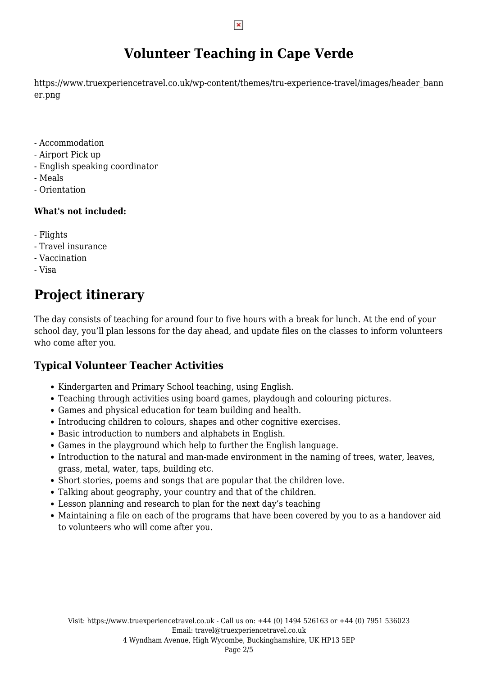## **Volunteer Teaching in Cape Verde**

https://www.truexperiencetravel.co.uk/wp-content/themes/tru-experience-travel/images/header\_bann er.png

- Accommodation
- Airport Pick up
- English speaking coordinator
- Meals
- Orientation

### **What's not included:**

- Flights
- Travel insurance
- Vaccination
- Visa

## **Project itinerary**

The day consists of teaching for around four to five hours with a break for lunch. At the end of your school day, you'll plan lessons for the day ahead, and update files on the classes to inform volunteers who come after you.

## **Typical Volunteer Teacher Activities**

- Kindergarten and Primary School teaching, using English.
- Teaching through activities using board games, playdough and colouring pictures.
- Games and physical education for team building and health.
- Introducing children to colours, shapes and other cognitive exercises.
- Basic introduction to numbers and alphabets in English.
- Games in the playground which help to further the English language.
- Introduction to the natural and man-made environment in the naming of trees, water, leaves, grass, metal, water, taps, building etc.
- Short stories, poems and songs that are popular that the children love.
- Talking about geography, your country and that of the children.
- Lesson planning and research to plan for the next day's teaching
- Maintaining a file on each of the programs that have been covered by you to as a handover aid to volunteers who will come after you.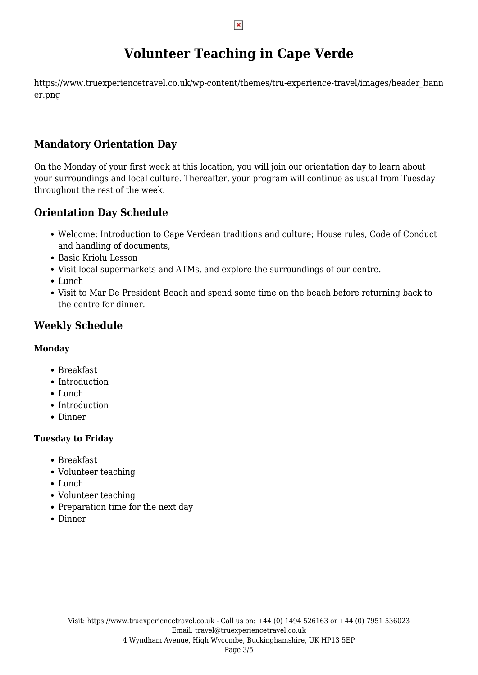## **Volunteer Teaching in Cape Verde**

https://www.truexperiencetravel.co.uk/wp-content/themes/tru-experience-travel/images/header\_bann er.png

## **Mandatory Orientation Day**

On the Monday of your first week at this location, you will join our orientation day to learn about your surroundings and local culture. Thereafter, your program will continue as usual from Tuesday throughout the rest of the week.

## **Orientation Day Schedule**

- Welcome: Introduction to Cape Verdean traditions and culture; House rules, Code of Conduct and handling of documents,
- Basic Kriolu Lesson
- Visit local supermarkets and ATMs, and explore the surroundings of our centre.
- Lunch
- Visit to Mar De President Beach and spend some time on the beach before returning back to the centre for dinner.

## **Weekly Schedule**

### **Monday**

- Breakfast
- Introduction
- Lunch
- Introduction
- Dinner

### **Tuesday to Friday**

- Breakfast
- Volunteer teaching
- Lunch
- Volunteer teaching
- Preparation time for the next day
- Dinner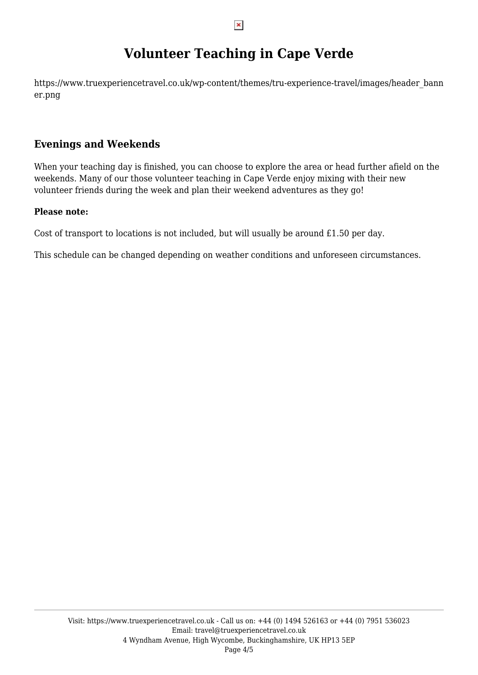## **Volunteer Teaching in Cape Verde**

https://www.truexperiencetravel.co.uk/wp-content/themes/tru-experience-travel/images/header\_bann er.png

## **Evenings and Weekends**

When your teaching day is finished, you can choose to explore the area or head further afield on the weekends. Many of our those volunteer teaching in Cape Verde enjoy mixing with their new volunteer friends during the week and plan their weekend adventures as they go!

### **Please note:**

Cost of transport to locations is not included, but will usually be around £1.50 per day.

This schedule can be changed depending on weather conditions and unforeseen circumstances.